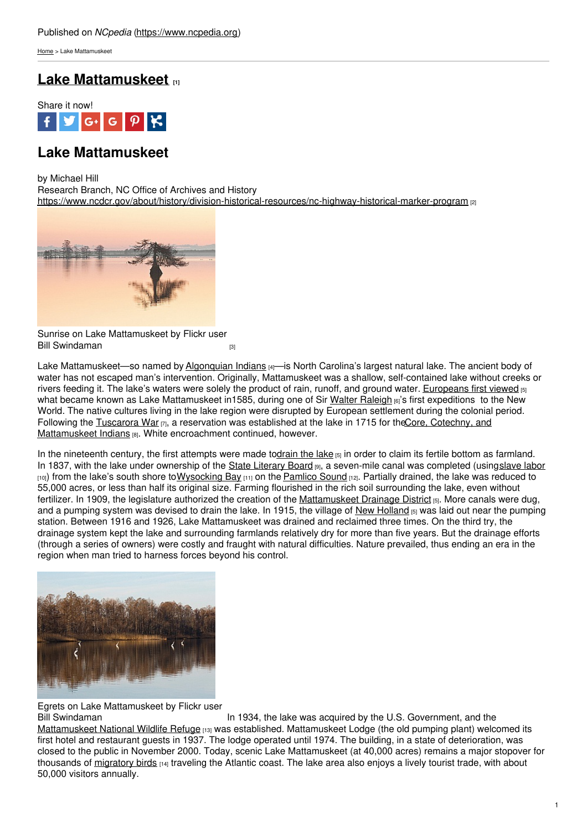[Home](https://www.ncpedia.org/) > Lake Mattamuskeet

# **Lake [Mattamuskeet](https://www.ncpedia.org/lakes/lake-mattamuskeet) [1]**



## **Lake Mattamuskeet**

by Michael Hill

Research Branch, NC Office of Archives and History <https://www.ncdcr.gov/about/history/division-historical-resources/nc-highway-historical-marker-program> [2]



Sunrise on Lake Mattamuskeet by Flickr user Bill [Swindaman](https://www.billswindamanphotography.com/ncwildliferefuges#e-0) **in the students of the students of the students of the students of the students of the students** 

Lake Mattamuskeet—so named by [Algonquian](http://www.ncalgonquians.com/) Indians [4]—is North Carolina's largest natural lake. The ancient body of water has not escaped man's intervention. Originally, Mattamuskeet was a shallow, self-contained lake without creeks or rivers feeding it. The lake's waters were solely the product of rain, runoff, and ground water. [Europeans](https://northcarolinahistory.org/encyclopedia/lake-mattamuskeet/) first viewed [5] what became known as Lake Mattamuskeet in1585, during one of Sir Walter [Raleigh](https://www.ncpedia.org/biography/raleigh-or-ralegh-sir) [6]'s first expeditions to the New World. The native cultures living in the lake region were disrupted by European settlement during the colonial period. Following the [Tuscarora](https://portal.ed.unc.edu) War [7], a reservation was established at the lake in 1715 for the Core, Cotechny, and Mattamuskeet Indians [8]. White [encroachment](https://www.ncmuseumofhistory.org/american-indian/handouts/timeline) continued, however.

In the nineteenth century, the first attempts were made t[odrain](https://northcarolinahistory.org/encyclopedia/lake-mattamuskeet/) the lake [5] in order to claim its fertile bottom as farmland. In 1837, with the lake under ownership of the State [Literary](https://www.dpi.nc.gov) Board [9], a seven-mile canal was completed (using[slave](http://books.google.com/books?id=BtKHtXR32rMC&lpg=PA107&ots=J-p2xkR3pH&dq=mattamuskeet canal slave&pg=PA107#v=onepage&q=mattamuskeet canal slave&f=false) labor [10]) from the lake's south shore to Wysocking Bay [11] on the [Pamlico](https://dc.lib.unc.edu/cdm/ref/collection/ncmaps/id/2389) Sound [12]. Partially drained, the lake was reduced to 55,000 acres, or less than half its original size. Farming flourished in the rich soil surrounding the lake, even without fertilizer. In 1909, the legislature authorized the creation of the [Mattamuskeet](https://northcarolinahistory.org/encyclopedia/lake-mattamuskeet/) Drainage District [5]. More canals were dug, and a pumping system was devised to drain the lake. In 1915, the village of New [Holland](https://northcarolinahistory.org/encyclopedia/lake-mattamuskeet/) [5] was laid out near the pumping station. Between 1916 and 1926, Lake Mattamuskeet was drained and reclaimed three times. On the third try, the drainage system kept the lake and surrounding farmlands relatively dry for more than five years. But the drainage efforts (through a series of owners) were costly and fraught with natural difficulties. Nature prevailed, thus ending an era in the region when man tried to harness forces beyond his control.



Egrets on Lake Mattamuskeet by Flickr user

In 1934, the lake was acquired by the U.S. Government, and the [Mattamuskeet](http://www.fws.gov/mattamuskeet/) National Wildlife Refuge [13] was established. Mattamuskeet Lodge (the old pumping plant) welcomed its first hotel and restaurant guests in 1937. The lodge operated until 1974. The building, in a state of deterioration, was closed to the public in November 2000. Today, scenic Lake Mattamuskeet (at 40,000 acres) remains a major stopover for thousands of [migratory](https://www.wunc.org/environment/2014-01-24/200-000-waterfowl-at-ncs-lake-mattamuskeet-a-symphony-of-sight-and-sound) birds [14] traveling the Atlantic coast. The lake area also enjoys a lively tourist trade, with about 50,000 visitors annually.